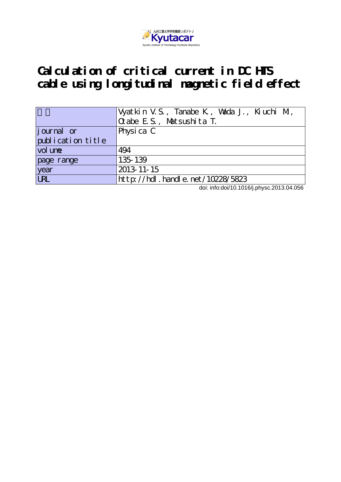

# **Calculation of critical current in DC HTS cable using longitudinal magnetic field effect**

|                   | Vyatkin V.S., Tanabe K., Vsida J., Kiuchi M.,<br>$Q$ abe E.S., Matsushita T. |  |  |  |  |
|-------------------|------------------------------------------------------------------------------|--|--|--|--|
| journal or        | Physica C                                                                    |  |  |  |  |
| publication title |                                                                              |  |  |  |  |
| vol une           | 494                                                                          |  |  |  |  |
| page range        | 135-139                                                                      |  |  |  |  |
| year              | 2013-11-15                                                                   |  |  |  |  |
| <b>URL</b>        | $http$ ://hdl. handle. net/10228/5823                                        |  |  |  |  |

doi: info:doi/10.1016/j.physc.2013.04.056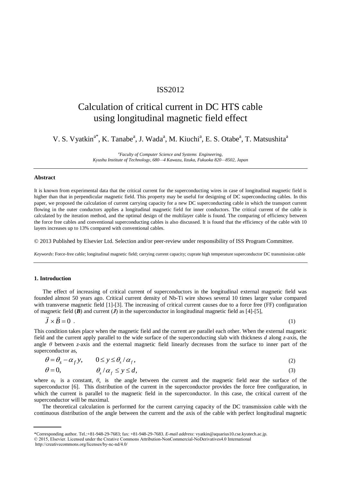### ISS2012

## Calculation of critical current in DC HTS cable using longitudinal magnetic field effect

V. S. Vyatkin<sup>a\*</sup>, K. Tanabe<sup>a</sup>, J. Wada<sup>a</sup>, M. Kiuchi<sup>a</sup>, E. S. Otabe<sup>a</sup>, T. Matsushita<sup>a</sup>

*<sup>a</sup>Faculty of Computer Science and Systems Engineering, Kyushu Institute of Technology, 680—4 Kawazu, Iizuka, Fukuoka 820—8502, Japan* 

#### **Abstract**

It is known from experimental data that the critical current for the superconducting wires in case of longitudinal magnetic field is higher than that in perpendicular magnetic field. This property may be useful for designing of DC superconducting cables. In this paper, we proposed the calculation of current carrying capacity for a new DC superconducting cable in which the transport current flowing in the outer conductors applies a longitudinal magnetic field for inner conductors. The critical current of the cable is calculated by the iteration method, and the optimal design of the multilayer cable is found. The comparing of efficiency between the force free cables and conventional superconducting cables is also discussed. It is found that the efficiency of the cable with 10 layers increases up to 13% compared with conventional cables.

© 2013 Published by Elsevier Ltd. Selection and/or peer-review under responsibility of ISS Program Committee.

*Keywords*: Force-free cable; longitudinal magnetic field; carrying current capacity; cuprate high temperature superconductor DC transmission cable

#### **1. Introduction**

The effect of increasing of critical current of superconductors in the longitudinal external magnetic field was founded almost 50 years ago. Critical current density of Nb-Ti wire shows several 10 times larger value compared with transverse magnetic field [1]-[3]. The increasing of critical current causes due to a force free (FF) configuration of magnetic field (*B*) and current (*J*) in the superconductor in longitudinal magnetic field as [4]-[5],

$$
\vec{J} \times \vec{B} = 0 \tag{1}
$$

This condition takes place when the magnetic field and the current are parallel each other. When the external magnetic field and the current apply parallel to the wide surface of the superconducting slab with thickness *d* along *z*-axis, the angle *θ* between *z*-axis and the external magnetic field linearly decreases from the surface to inner part of the superconductor as,

$$
\theta = \theta_s - \alpha_f y, \qquad 0 \le y \le \theta_s / \alpha_f, \tag{2}
$$

$$
\theta = 0, \qquad \theta_s / \alpha_f \le y \le d,\tag{3}
$$

where  $\alpha_f$  is a constant,  $\theta_s$  is the angle between the current and the magnetic field near the surface of the superconductor [6]. This distribution of the current in the superconductor provides the force free configuration, in which the current is parallel to the magnetic field in the superconductor. In this case, the critical current of the superconductor will be maximal.

The theoretical calculation is performed for the current carrying capacity of the DC transmission cable with the continuous distribution of the angle between the current and the axis of the cable with perfect longitudinal magnetic

<sup>\*</sup>Corresponding author. Tel.:+81-948-29-7683; fax: +81-948-29-7683. *E-mail address*: vyatkin@aquarius10.cse.kyutech.ac.jp.

<sup>© 2015,</sup> Elsevier. Licensed under the Creative Commons Attribution-NonCommercial-NoDerivatives4.0 International

http://creativecommons.org/licenses/by-nc-nd/4.0/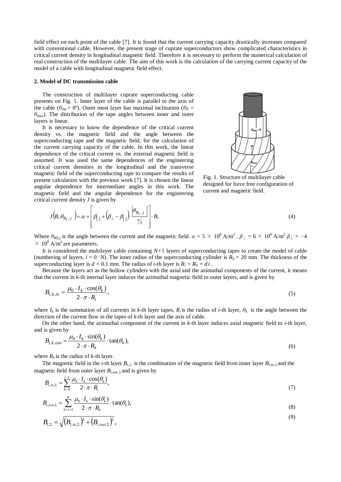field effect on each point of the cable [7]. It is found that the current carrying capacity drastically increases compared with conventional cable. However, the present stage of cuprate superconductors show complicated characteristics in critical current density in longitudinal magnetic field. Therefore it is necessary to perform the numerical calculation of real construction of the multilayer cable. The aim of this work is the calculation of the carrying current capacity of the model of a cable with longitudinal magnetic field effect.

#### **2. Model of DC transmission cable**

The construction of multilayer cuprate superconducting cable presents on Fig. 1. Inner layer of the cable is parallel to the axis of the cable ( $\theta_{\text{inn}} = 0^{\circ}$ ). Outer most layer has maximal inclination ( $\theta_N =$ *θ*max). The distribution of the tape angles between inner and outer layers is linear.

It is necessary to know the dependence of the critical current density vs. the magnetic field and the angle between the superconducting tape and the magnetic field, for the calculation of the current carrying capacity of the cable. In this work, the linear dependence of the critical current vs. the external magnetic field is assumed. It was used the same dependences of the engineering critical current densities in the longitudinal and the transverse magnetic field of the superconducting tape to compare the results of present calculation with the previous work [7]. It is chosen the linear angular dependence for intermediate angles in this work. The critical current density *J* is given by



Fig. 1. Structure of multilayer cable designed for force free configuration of current and magnetic field.

magnetic field and the angular dependence for the engineering  
critical current density J is given by  

$$
J\left(B, \theta_{B_{\Sigma}, j}\right) = \alpha + \left[\beta_{\parallel} + \left(\beta_{\perp} - \beta_{\parallel}\right) \cdot \frac{\left|\theta_{B_{\Sigma}, j}\right|}{\pi/2}\right] \cdot B,
$$
(4)

Where  $\theta_{B\Sigma j}$  is the angle between the current and the magnetic field.  $\alpha = 5 \times 10^8$  A/m<sup>2</sup>,  $\beta_{\parallel} = 6 \times 10^8$  A/m<sup>2</sup>  $\beta_{\perp} = -4$  $\times$  10<sup>8</sup> A/m<sup>2</sup> are parameters.

It is considered the multilayer cable containing *N+*1 layers of superconducting tapes to create the model of cable (numbering of layers,  $i = 0$ ). The inner radius of the superconducting cylinder is  $R_0 = 20$  mm. The thickness of the superconducting layer is  $d = 0.1$  mm. The radius of *i*-th layer is  $R_i = R_0 + d\hat{i}$ .

Because the layers act as the hollow cylinders with the axial and the azimuthal components of the current, it means that the current in *k*-th internal layer induces the azimuthal magnetic field to outer layers, and is given by

$$
B_{i,k,in} = \frac{\mu_0 \cdot I_k \cdot \cos(\theta_k)}{2 \cdot \pi \cdot R_i},
$$
\n(5)

where  $I_k$  is the summation of all currents in *k*-th layer tapes,  $R_i$  is the radius of *i*-th layer,  $\theta_k$  is the angle between the direction of the current flow in the tapes of *k*-th layer and the axis of cable.

On the other hand, the azimuthal component of the current in *k*-th layer induces axial magnetic field to *i*-th layer, and is given by

$$
B_{i,k,out} = \frac{\mu_0 \cdot I_k \cdot \sin(\theta_k)}{2 \cdot \pi \cdot R_k} \cdot \tan(\theta_k),
$$
\n(6)

where  $R_k$  is the radius of *k*-th layer.

The magnetic field in the *i*-th layer  $B_{i,\Sigma}$  is the combination of the magnetic field from inner layer  $B_{i,\text{in},\Sigma}$  and the magnetic field from outer layer  $B_{i,out, \Sigma}$  and is given by

$$
B_{i,m,\Sigma} = \sum_{k=0}^{i-1} \frac{\mu_0 \cdot I_k \cdot \cos(\theta_k)}{2 \cdot \pi \cdot R_i},\tag{7}
$$

$$
B_{i,out,\Sigma} = \sum_{k=i+1}^{N} \frac{\mu_0 \cdot I_k \cdot \sin(\theta_k)}{2 \cdot \pi \cdot R_k} \cdot \tan(\theta_k),
$$
\n(8)

$$
B_{i,\Sigma} = \sqrt{\left(B_{i,in,\Sigma}\right)^{2} + \left(B_{i,out,\Sigma}\right)^{2}},
$$
\n(9)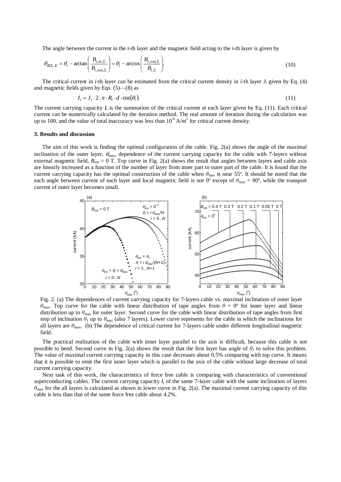The angle between the current in the *i*-th layer and the magnetic field acting to the *i*-th layer is given by

$$
\theta_{Bi\Sigma, li} = \theta_i - \arctan\left(\frac{B_{i,in,\Sigma}}{B_{i,out,\Sigma}}\right) = \theta_i - \arccos\left(\frac{B_{i,out,\Sigma}}{B_{i,\Sigma}}\right).
$$
\n(10)

The critical current in *i*-th layer can be estimated from the critical current density in *i*-th layer  $J_i$  given by Eq. (4) and magnetic fields given by Eqs. (5)—(8) as

$$
I_i = J_i \cdot 2 \cdot \pi \cdot R_i \cdot d \cdot \cos(\theta_i)
$$
\n(11)

The current carrying capacity  $I_t$  is the summation of the critical current at each layer given by Eq.  $(11)$ . Each critical current can be numerically calculated by the iteration method. The real amount of iteration during the calculation was up to 100, and the value of total inaccuracy was less than  $10^{-6} A/m^2$  for critical current density.

#### **3. Results and discussion**

The aim of this work is finding the optimal configuration of the cable. Fig. 2(a) shows the angle of the maximal inclination of the outer layer,  $\theta_{\text{max}}$ , dependence of the current carrying capacity for the cable with 7-layers without external magnetic field,  $B_{ext} = 0$  T. Top curve in Fig. 2(a) shows the result that angles between layers and cable axis are linearly increased as a function of the number of layer from inner part to outer part of the cable. It is found that the current carrying capacity has the optimal construction of the cable when *θ*<sub>max</sub> is near 55°. It should be noted that the each angle between current of each layer and local magnetic field is not 0<sup>o</sup> except of  $\theta_{\text{max}} = 90^{\circ}$ , while the transport current of outer layer becomes small.



Fig. 2. (a) The dependences of current carrying capacity for 7-layers cable vs. maximal inclination of outer layer *θ*max. Top curve for the cable with linear distribution of tape angles from *θ* = 0º for inner layer and linear distribution up to  $\theta_{\text{max}}$  for outer layer. Second curve for the cable with linear distribution of tape angles from first step of inclination  $\theta_1$  up to  $\theta_{\text{max}}$  (also 7 layers). Lower curve represents for the cable in which the inclinations for all layers are  $\theta_{\text{max}}$ . (b) The dependence of critical current for 7-layers cable under different longitudinal magnetic field.

The practical realization of the cable with inner layer parallel to the axis is difficult, because this cable is not possible to bend. Second curve in Fig. 2(a) shows the result that the first layer has angle of  $\theta_1$  to solve this problem. The value of maximal current carrying capacity in this case decreases about 0.5% comparing with top curve. It means that it is possible to omit the first inner layer which is parallel to the axis of the cable without large decrease of total current carrying capacity.

Next task of this work, the characteristics of force free cable is comparing with characteristics of conventional superconducting cables. The current carrying capacity  $I_t$  of the same  $7$ -layer cable with the same inclination of layers *θ*max for the all layers is calculated as shown in lower curve in Fig. 2(a). The maximal current carrying capacity of this cable is less than that of the same force free cable about 4.2%.